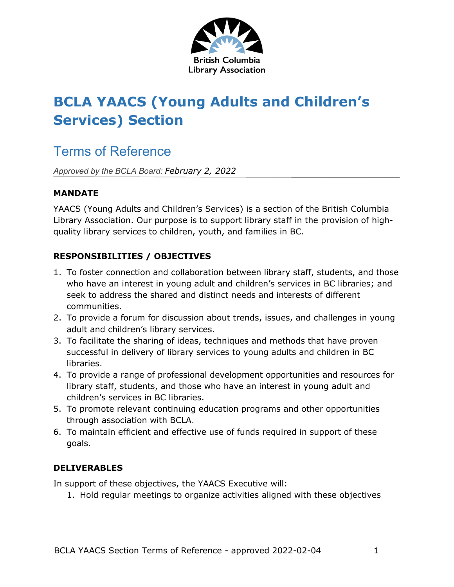

# **BCLA YAACS (Young Adults and Children's Services) Section**

# Terms of Reference

*Approved by the BCLA Board: February 2, 2022*

### **MANDATE**

YAACS (Young Adults and Children's Services) is a section of the British Columbia Library Association. Our purpose is to support library staff in the provision of highquality library services to children, youth, and families in BC.

### **RESPONSIBILITIES / OBJECTIVES**

- 1. To foster connection and collaboration between library staff, students, and those who have an interest in young adult and children's services in BC libraries; and seek to address the shared and distinct needs and interests of different communities.
- 2. To provide a forum for discussion about trends, issues, and challenges in young adult and children's library services.
- 3. To facilitate the sharing of ideas, techniques and methods that have proven successful in delivery of library services to young adults and children in BC libraries.
- 4. To provide a range of professional development opportunities and resources for library staff, students, and those who have an interest in young adult and children's services in BC libraries.
- 5. To promote relevant continuing education programs and other opportunities through association with BCLA.
- 6. To maintain efficient and effective use of funds required in support of these goals.

#### **DELIVERABLES**

In support of these objectives, the YAACS Executive will:

1. Hold regular meetings to organize activities aligned with these objectives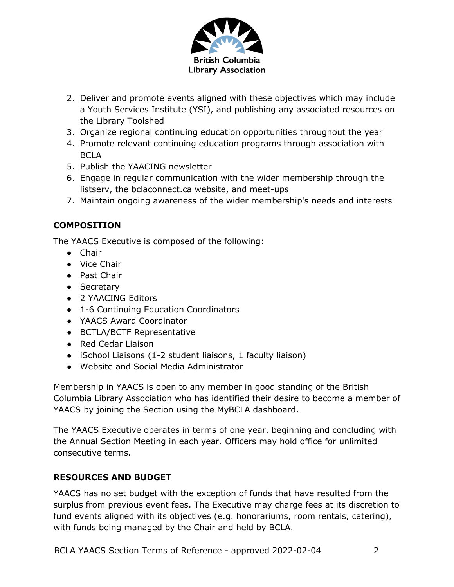

- 2. Deliver and promote events aligned with these objectives which may include a Youth Services Institute (YSI), and publishing any associated resources on the Library Toolshed
- 3. Organize regional continuing education opportunities throughout the year
- 4. Promote relevant continuing education programs through association with BCLA
- 5. Publish the YAACING newsletter
- 6. Engage in regular communication with the wider membership through the listserv, the bclaconnect.ca website, and meet-ups
- 7. Maintain ongoing awareness of the wider membership's needs and interests

### **COMPOSITION**

The YAACS Executive is composed of the following:

- Chair
- Vice Chair
- Past Chair
- Secretary
- 2 YAACING Editors
- 1-6 Continuing Education Coordinators
- YAACS Award Coordinator
- BCTLA/BCTF Representative
- Red Cedar Liaison
- iSchool Liaisons (1-2 student liaisons, 1 faculty liaison)
- Website and Social Media Administrator

Membership in YAACS is open to any member in good standing of the British Columbia Library Association who has identified their desire to become a member of YAACS by joining the Section using the MyBCLA dashboard.

The YAACS Executive operates in terms of one year, beginning and concluding with the Annual Section Meeting in each year. Officers may hold office for unlimited consecutive terms.

# **RESOURCES AND BUDGET**

YAACS has no set budget with the exception of funds that have resulted from the surplus from previous event fees. The Executive may charge fees at its discretion to fund events aligned with its objectives (e.g. honorariums, room rentals, catering), with funds being managed by the Chair and held by BCLA.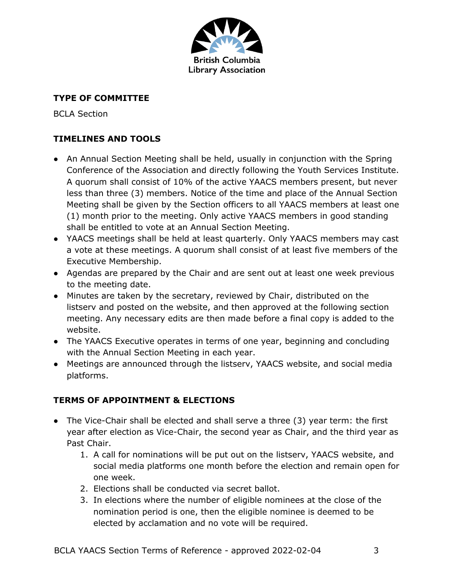

#### **TYPE OF COMMITTEE**

BCLA Section

# **TIMELINES AND TOOLS**

- An Annual Section Meeting shall be held, usually in conjunction with the Spring Conference of the Association and directly following the Youth Services Institute. A quorum shall consist of 10% of the active YAACS members present, but never less than three (3) members. Notice of the time and place of the Annual Section Meeting shall be given by the Section officers to all YAACS members at least one (1) month prior to the meeting. Only active YAACS members in good standing shall be entitled to vote at an Annual Section Meeting.
- YAACS meetings shall be held at least quarterly. Only YAACS members may cast a vote at these meetings. A quorum shall consist of at least five members of the Executive Membership.
- Agendas are prepared by the Chair and are sent out at least one week previous to the meeting date.
- Minutes are taken by the secretary, reviewed by Chair, distributed on the listserv and posted on the website, and then approved at the following section meeting. Any necessary edits are then made before a final copy is added to the website.
- The YAACS Executive operates in terms of one year, beginning and concluding with the Annual Section Meeting in each year.
- Meetings are announced through the listserv, YAACS website, and social media platforms.

# **TERMS OF APPOINTMENT & ELECTIONS**

- The Vice-Chair shall be elected and shall serve a three (3) year term: the first year after election as Vice-Chair, the second year as Chair, and the third year as Past Chair.
	- 1. A call for nominations will be put out on the listserv, YAACS website, and social media platforms one month before the election and remain open for one week.
	- 2. Elections shall be conducted via secret ballot.
	- 3. In elections where the number of eligible nominees at the close of the nomination period is one, then the eligible nominee is deemed to be elected by acclamation and no vote will be required.